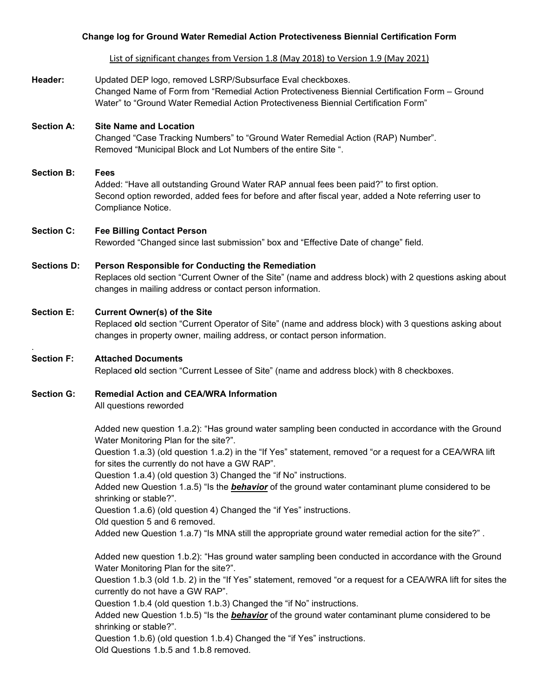#### **Change log for Ground Water Remedial Action Protectiveness Biennial Certification Form**

List of significant changes from Version 1.8 (May 2018) to Version 1.9 (May 2021)

**Header:** Updated DEP logo, removed LSRP/Subsurface Eval checkboxes. Changed Name of Form from "Remedial Action Protectiveness Biennial Certification Form – Ground Water" to "Ground Water Remedial Action Protectiveness Biennial Certification Form"

# **Section A: Site Name and Location**

Changed "Case Tracking Numbers" to "Ground Water Remedial Action (RAP) Number". Removed "Municipal Block and Lot Numbers of the entire Site ".

# **Section B: Fees**

Added: "Have all outstanding Ground Water RAP annual fees been paid?" to first option. Second option reworded, added fees for before and after fiscal year, added a Note referring user to Compliance Notice.

#### **Section C: Fee Billing Contact Person**

Reworded "Changed since last submission" box and "Effective Date of change" field.

### **Sections D: Person Responsible for Conducting the Remediation**

Replaces old section "Current Owner of the Site" (name and address block) with 2 questions asking about changes in mailing address or contact person information.

#### **Section E: Current Owner(s) of the Site**

Replaced **o**ld section "Current Operator of Site" (name and address block) with 3 questions asking about changes in property owner, mailing address, or contact person information.

### **Section F: Attached Documents**

.

Replaced **o**ld section "Current Lessee of Site" (name and address block) with 8 checkboxes.

#### **Section G: Remedial Action and CEA/WRA Information**

All questions reworded

Added new question 1.a.2): "Has ground water sampling been conducted in accordance with the Ground Water Monitoring Plan for the site?".

Question 1.a.3) (old question 1.a.2) in the "If Yes" statement, removed "or a request for a CEA/WRA lift for sites the currently do not have a GW RAP".

Question 1.a.4) (old question 3) Changed the "if No" instructions.

Added new Question 1.a.5) "Is the *behavior* of the ground water contaminant plume considered to be shrinking or stable?".

Question 1.a.6) (old question 4) Changed the "if Yes" instructions.

Old question 5 and 6 removed.

Added new Question 1.a.7) "Is MNA still the appropriate ground water remedial action for the site?" .

Added new question 1.b.2): "Has ground water sampling been conducted in accordance with the Ground Water Monitoring Plan for the site?".

Question 1.b.3 (old 1.b. 2) in the "If Yes" statement, removed "or a request for a CEA/WRA lift for sites the currently do not have a GW RAP".

Question 1.b.4 (old question 1.b.3) Changed the "if No" instructions.

Added new Question 1.b.5) "Is the *behavior* of the ground water contaminant plume considered to be shrinking or stable?".

Question 1.b.6) (old question 1.b.4) Changed the "if Yes" instructions.

Old Questions 1.b.5 and 1.b.8 removed.